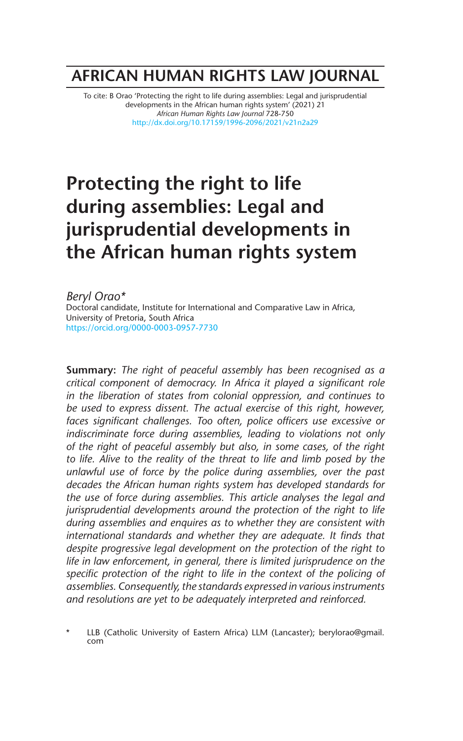## **AFRICAN HUMAN RIGHTS LAW JOURNAL**

To cite: B Orao 'Protecting the right to life during assemblies: Legal and jurisprudential developments in the African human rights system' (2021) 21 *African Human Rights Law Journal* 728-750 http://dx.doi.org/10.17159/1996-2096/2021/v21n2a29

# **Protecting the right to life during assemblies: Legal and jurisprudential developments in the African human rights system**

*Beryl Orao\** Doctoral candidate, Institute for International and Comparative Law in Africa, University of Pretoria, South Africa https://orcid.org/0000-0003-0957-7730

**Summary:** *The right of peaceful assembly has been recognised as a critical component of democracy. In Africa it played a significant role in the liberation of states from colonial oppression, and continues to be used to express dissent. The actual exercise of this right, however,*  faces significant challenges. Too often, police officers use excessive or *indiscriminate force during assemblies, leading to violations not only of the right of peaceful assembly but also, in some cases, of the right to life. Alive to the reality of the threat to life and limb posed by the unlawful use of force by the police during assemblies, over the past decades the African human rights system has developed standards for the use of force during assemblies. This article analyses the legal and jurisprudential developments around the protection of the right to life during assemblies and enquires as to whether they are consistent with international standards and whether they are adequate. It finds that despite progressive legal development on the protection of the right to life in law enforcement, in general, there is limited jurisprudence on the specific protection of the right to life in the context of the policing of assemblies. Consequently, the standards expressed in various instruments and resolutions are yet to be adequately interpreted and reinforced.* 

LLB (Catholic University of Eastern Africa) LLM (Lancaster); berylorao@gmail. com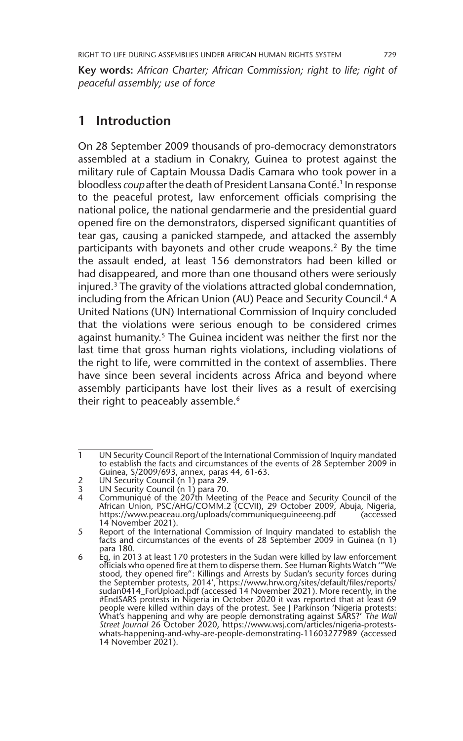**Key words:** *African Charter; African Commission; right to life; right of peaceful assembly; use of force*

### **1 Introduction**

On 28 September 2009 thousands of pro-democracy demonstrators assembled at a stadium in Conakry, Guinea to protest against the military rule of Captain Moussa Dadis Camara who took power in a bloodless *coup* after the death of President Lansana Conté.<sup>1</sup> In response to the peaceful protest, law enforcement officials comprising the national police, the national gendarmerie and the presidential guard opened fire on the demonstrators, dispersed significant quantities of tear gas, causing a panicked stampede, and attacked the assembly participants with bayonets and other crude weapons.<sup>2</sup> By the time the assault ended, at least 156 demonstrators had been killed or had disappeared, and more than one thousand others were seriously injured.3 The gravity of the violations attracted global condemnation, including from the African Union (AU) Peace and Security Council.<sup>4</sup> A United Nations (UN) International Commission of Inquiry concluded that the violations were serious enough to be considered crimes against humanity.<sup>5</sup> The Guinea incident was neither the first nor the last time that gross human rights violations, including violations of the right to life, were committed in the context of assemblies. There have since been several incidents across Africa and beyond where assembly participants have lost their lives as a result of exercising their right to peaceably assemble.<sup>6</sup>

<sup>1</sup> UN Security Council Report of the International Commission of Inquiry mandated to establish the facts and circumstances of the events of 28 September 2009 in Guinea, S/2009/693, annex, paras 44, 61-63.

<sup>2</sup> UN Security Council (n 1) para 29.

<sup>3</sup> UN Security Council (n 1) para 70.

<sup>4</sup> Communiqué of the 207th Meeting of the Peace and Security Council of the African Union, PSC/AHG/COMM.2 (CCVII), 29 October 2009, Abuja, Nigeria, https://www.peaceau.org/uploads/communiqueguineeeng.pdf (accessed 14 November 2021).

<sup>5</sup> Report of the International Commission of Inquiry mandated to establish the facts and circumstances of the events of 28 September 2009 in Guinea (n 1) para 180.

 $6$  Eq, in 2013 at least 170 protesters in the Sudan were killed by law enforcement officials who opened fire at them to disperse them. See Human Rights Watch '"We stood, they opened fire": Killings and Arrests by Sudan's security forces during the September protests, 2014', https://www.hrw.org/sites/default/files/reports/ sudan0414\_ForUpload.pdf (accessed 14 November 2021). More recently, in the #EndSARS protests in Nigeria in October 2020 it was reported that at least 69<br>people were killed within days of the protest. See J Parkinson 'Nigeria protests:<br>What's happening and why are people demonstrating against SARS *Street Journal* 26 October 2020, https://www.wsj.com/articles/nigeria-protestswhats-happening-and-why-are-people-demonstrating-11603277989 (accessed 14 November 2021).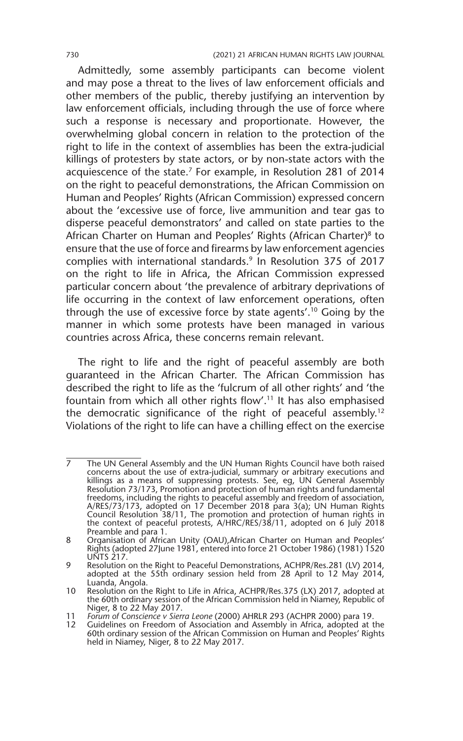Admittedly, some assembly participants can become violent and may pose a threat to the lives of law enforcement officials and other members of the public, thereby justifying an intervention by law enforcement officials, including through the use of force where such a response is necessary and proportionate. However, the overwhelming global concern in relation to the protection of the right to life in the context of assemblies has been the extra-judicial killings of protesters by state actors, or by non-state actors with the acquiescence of the state.<sup>7</sup> For example, in Resolution 281 of 2014 on the right to peaceful demonstrations, the African Commission on Human and Peoples' Rights (African Commission) expressed concern about the 'excessive use of force, live ammunition and tear gas to disperse peaceful demonstrators' and called on state parties to the African Charter on Human and Peoples' Rights (African Charter)<sup>8</sup> to ensure that the use of force and firearms by law enforcement agencies complies with international standards.9 In Resolution 375 of 2017 on the right to life in Africa, the African Commission expressed particular concern about 'the prevalence of arbitrary deprivations of life occurring in the context of law enforcement operations, often through the use of excessive force by state agents'.10 Going by the manner in which some protests have been managed in various countries across Africa, these concerns remain relevant.

The right to life and the right of peaceful assembly are both guaranteed in the African Charter. The African Commission has described the right to life as the 'fulcrum of all other rights' and 'the fountain from which all other rights flow'.11 It has also emphasised the democratic significance of the right of peaceful assembly.<sup>12</sup> Violations of the right to life can have a chilling effect on the exercise

<sup>7</sup> The UN General Assembly and the UN Human Rights Council have both raised concerns about the use of extra-judicial, summary or arbitrary executions and killings as a means of suppressing protests. See, eg, UN General Assembly Resolution 73/173, Promotion and protection of human rights and fundamental freedoms, including the rights to peaceful assembly and freedom of association, A/RES/73/173, adopted on 17 December 2018 para 3(a); UN Human Rights Council Resolution 38/11, The promotion and protection of human rights in the context of peaceful protests, A/HRC/RES/38/11, adopted on 6 July 2018 Preamble and para 1.

<sup>8</sup> Organisation of African Unity (OAU), African Charter on Human and Peoples' Rights (adopted 27June 1981, entered into force 21 October 1986) (1981) 1520 UNTS 217.

<sup>9</sup> Resolution on the Right to Peaceful Demonstrations, ACHPR/Res.281 (LV) 2014, adopted at the 55th ordinary session held from 28 April to 12 May 2014, Luanda, Angola.

<sup>10</sup> Resolution on the Right to Life in Africa, ACHPR/Res.375 (LX) 2017, adopted at the 60th ordinary session of the African Commission held in Niamey, Republic of Niger, 8 to 22 May 2017.

<sup>11</sup> *Forum of Conscience v Sierra Leone* (2000) AHRLR 293 (ACHPR 2000) para 19.

<sup>12</sup> Guidelines on Freedom of Association and Assembly in Africa, adopted at the 60th ordinary session of the African Commission on Human and Peoples' Rights held in Niamey, Niger, 8 to 22 May 2017.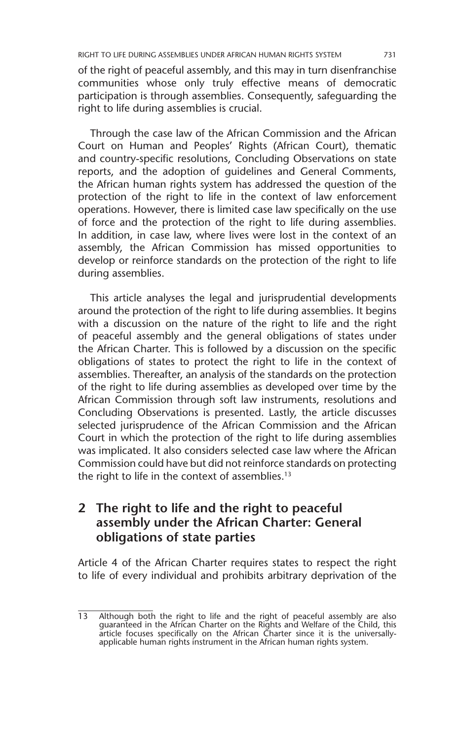of the right of peaceful assembly, and this may in turn disenfranchise communities whose only truly effective means of democratic participation is through assemblies. Consequently, safeguarding the right to life during assemblies is crucial.

Through the case law of the African Commission and the African Court on Human and Peoples' Rights (African Court), thematic and country-specific resolutions, Concluding Observations on state reports, and the adoption of guidelines and General Comments, the African human rights system has addressed the question of the protection of the right to life in the context of law enforcement operations. However, there is limited case law specifically on the use of force and the protection of the right to life during assemblies. In addition, in case law, where lives were lost in the context of an assembly, the African Commission has missed opportunities to develop or reinforce standards on the protection of the right to life during assemblies.

This article analyses the legal and jurisprudential developments around the protection of the right to life during assemblies. It begins with a discussion on the nature of the right to life and the right of peaceful assembly and the general obligations of states under the African Charter. This is followed by a discussion on the specific obligations of states to protect the right to life in the context of assemblies. Thereafter, an analysis of the standards on the protection of the right to life during assemblies as developed over time by the African Commission through soft law instruments, resolutions and Concluding Observations is presented. Lastly, the article discusses selected jurisprudence of the African Commission and the African Court in which the protection of the right to life during assemblies was implicated. It also considers selected case law where the African Commission could have but did not reinforce standards on protecting the right to life in the context of assemblies.<sup>13</sup>

## **2 The right to life and the right to peaceful assembly under the African Charter: General obligations of state parties**

Article 4 of the African Charter requires states to respect the right to life of every individual and prohibits arbitrary deprivation of the

<sup>13</sup> Although both the right to life and the right of peaceful assembly are also guaranteed in the African Charter on the Rights and Welfare of the Child, this article focuses specifically on the African Charter since it is the universallyapplicable human rights instrument in the African human rights system.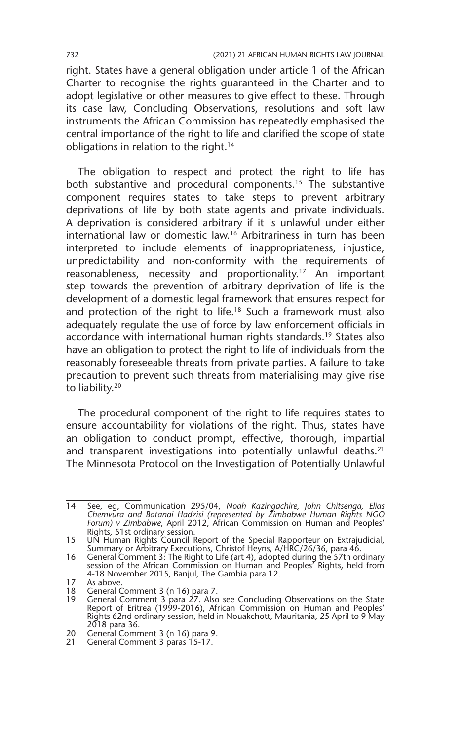right. States have a general obligation under article 1 of the African Charter to recognise the rights guaranteed in the Charter and to adopt legislative or other measures to give effect to these. Through its case law, Concluding Observations, resolutions and soft law instruments the African Commission has repeatedly emphasised the central importance of the right to life and clarified the scope of state obligations in relation to the right.14

The obligation to respect and protect the right to life has both substantive and procedural components.<sup>15</sup> The substantive component requires states to take steps to prevent arbitrary deprivations of life by both state agents and private individuals. A deprivation is considered arbitrary if it is unlawful under either international law or domestic law.16 Arbitrariness in turn has been interpreted to include elements of inappropriateness, injustice, unpredictability and non-conformity with the requirements of reasonableness, necessity and proportionality.<sup>17</sup> An important step towards the prevention of arbitrary deprivation of life is the development of a domestic legal framework that ensures respect for and protection of the right to life.<sup>18</sup> Such a framework must also adequately regulate the use of force by law enforcement officials in accordance with international human rights standards.<sup>19</sup> States also have an obligation to protect the right to life of individuals from the reasonably foreseeable threats from private parties. A failure to take precaution to prevent such threats from materialising may give rise to liability.<sup>20</sup>

The procedural component of the right to life requires states to ensure accountability for violations of the right. Thus, states have an obligation to conduct prompt, effective, thorough, impartial and transparent investigations into potentially unlawful deaths.<sup>21</sup> The Minnesota Protocol on the Investigation of Potentially Unlawful

<sup>14</sup> See, eg, Communication 295/04, *Noah Kazingachire, John Chitsenga, Elias Chemvura and Batanai Hadzisi (represented by Zimbabwe Human Rights NGO Forum) v Zimbabwe*, April 2012, African Commission on Human and Peoples' Rights, 51st ordinary session.

<sup>15</sup> UN Human Rights Council Report of the Special Rapporteur on Extrajudicial, Summary or Arbitrary Executions, Christof Heyns, A/HRC/26/36, para 46.

<sup>16</sup> General Comment 3: The Right to Life (art 4), adopted during the 57th ordinary session of the African Commission on Human and Peoples' Rights, held from 4-18 November 2015, Banjul, The Gambia para 12.

<sup>17</sup> As above.<br>18 General C

<sup>18</sup> General Comment 3 (n 16) para 7.

<sup>19</sup> General Comment 3 para 27. Also see Concluding Observations on the State Report of Eritrea (1999-2016), African Commission on Human and Peoples' Rights 62nd ordinary session, held in Nouakchott, Mauritania, 25 April to 9 May 2018 para 36.

<sup>20</sup> General Comment 3 (n 16) para 9.

<sup>21</sup> General Comment 3 paras 15-17.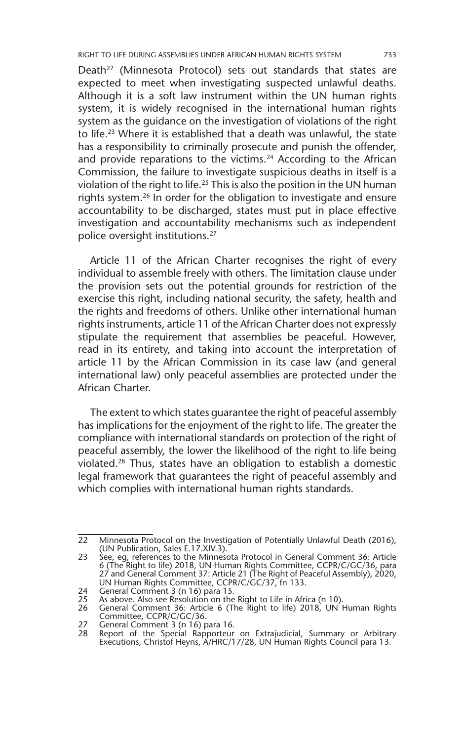Death<sup>22</sup> (Minnesota Protocol) sets out standards that states are expected to meet when investigating suspected unlawful deaths. Although it is a soft law instrument within the UN human rights system, it is widely recognised in the international human rights system as the guidance on the investigation of violations of the right to life.23 Where it is established that a death was unlawful, the state has a responsibility to criminally prosecute and punish the offender, and provide reparations to the victims.<sup>24</sup> According to the African Commission, the failure to investigate suspicious deaths in itself is a violation of the right to life.<sup>25</sup> This is also the position in the UN human rights system.26 In order for the obligation to investigate and ensure accountability to be discharged, states must put in place effective investigation and accountability mechanisms such as independent police oversight institutions.27

Article 11 of the African Charter recognises the right of every individual to assemble freely with others. The limitation clause under the provision sets out the potential grounds for restriction of the exercise this right, including national security, the safety, health and the rights and freedoms of others. Unlike other international human rights instruments, article 11 of the African Charter does not expressly stipulate the requirement that assemblies be peaceful. However, read in its entirety, and taking into account the interpretation of article 11 by the African Commission in its case law (and general international law) only peaceful assemblies are protected under the African Charter.

The extent to which states guarantee the right of peaceful assembly has implications for the enjoyment of the right to life. The greater the compliance with international standards on protection of the right of peaceful assembly, the lower the likelihood of the right to life being violated.28 Thus, states have an obligation to establish a domestic legal framework that guarantees the right of peaceful assembly and which complies with international human rights standards.

<sup>22</sup> Minnesota Protocol on the Investigation of Potentially Unlawful Death (2016), (UN Publication, Sales E.17.XIV.3).

<sup>23</sup> See, eg, references to the Minnesota Protocol in General Comment 36: Article 6 (The Right to life) 2018, UN Human Rights Committee, CCPR/C/GC/36, para 27 and General Comment 37: Article 21 (The Right of Peaceful Assembly), 2020, UN Human Rights Committee, CCPR/C/GC/37, fn 133.

<sup>24</sup> General Comment 3 (n 16) para 15.<br>25 As above. Also see Resolution on the

<sup>25</sup> As above. Also see Resolution on the Right to Life in Africa (n 10). 26 General Comment 36: Article 6 (The Right to life) 2018, UN Human Rights Committee, CCPR/C/GC/36.

<sup>27</sup> General Comment 3 (n 16) para 16.

<sup>28</sup> Report of the Special Rapporteur on Extrajudicial, Summary or Arbitrary Executions, Christof Heyns, A/HRC/17/28, UN Human Rights Council para 13.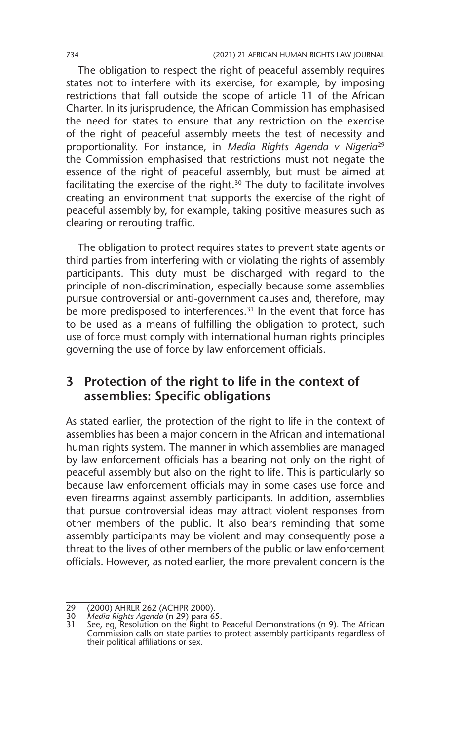The obligation to respect the right of peaceful assembly requires states not to interfere with its exercise, for example, by imposing restrictions that fall outside the scope of article 11 of the African Charter. In its jurisprudence, the African Commission has emphasised the need for states to ensure that any restriction on the exercise of the right of peaceful assembly meets the test of necessity and proportionality. For instance, in *Media Rights Agenda v Nigeria*<sup>29</sup> the Commission emphasised that restrictions must not negate the essence of the right of peaceful assembly, but must be aimed at facilitating the exercise of the right.<sup>30</sup> The duty to facilitate involves creating an environment that supports the exercise of the right of peaceful assembly by, for example, taking positive measures such as clearing or rerouting traffic.

The obligation to protect requires states to prevent state agents or third parties from interfering with or violating the rights of assembly participants. This duty must be discharged with regard to the principle of non-discrimination, especially because some assemblies pursue controversial or anti-government causes and, therefore, may be more predisposed to interferences.<sup>31</sup> In the event that force has to be used as a means of fulfilling the obligation to protect, such use of force must comply with international human rights principles governing the use of force by law enforcement officials.

## **3 Protection of the right to life in the context of assemblies: Specific obligations**

As stated earlier, the protection of the right to life in the context of assemblies has been a major concern in the African and international human rights system. The manner in which assemblies are managed by law enforcement officials has a bearing not only on the right of peaceful assembly but also on the right to life. This is particularly so because law enforcement officials may in some cases use force and even firearms against assembly participants. In addition, assemblies that pursue controversial ideas may attract violent responses from other members of the public. It also bears reminding that some assembly participants may be violent and may consequently pose a threat to the lives of other members of the public or law enforcement officials. However, as noted earlier, the more prevalent concern is the

<sup>29</sup> (2000) AHRLR 262 (ACHPR 2000).

<sup>30</sup> *Media Rights Agenda* (n 29) para 65.

<sup>31</sup> See, eg, Resolution on the Right to Peaceful Demonstrations (n 9). The African Commission calls on state parties to protect assembly participants regardless of their political affiliations or sex.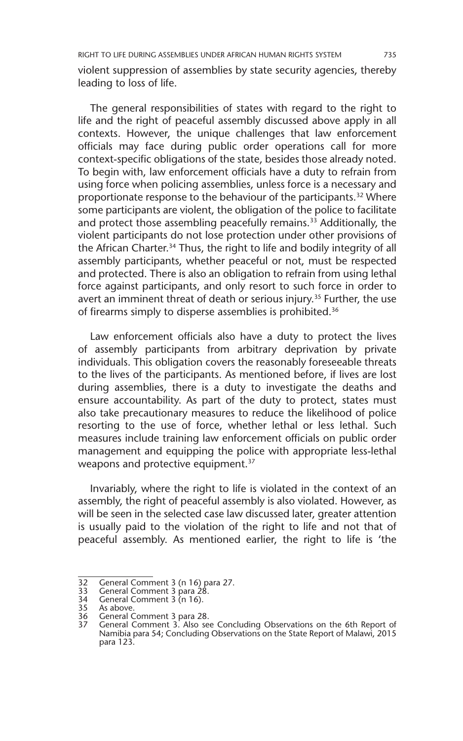violent suppression of assemblies by state security agencies, thereby leading to loss of life.

The general responsibilities of states with regard to the right to life and the right of peaceful assembly discussed above apply in all contexts. However, the unique challenges that law enforcement officials may face during public order operations call for more context-specific obligations of the state, besides those already noted. To begin with, law enforcement officials have a duty to refrain from using force when policing assemblies, unless force is a necessary and proportionate response to the behaviour of the participants.<sup>32</sup> Where some participants are violent, the obligation of the police to facilitate and protect those assembling peacefully remains.<sup>33</sup> Additionally, the violent participants do not lose protection under other provisions of the African Charter.<sup>34</sup> Thus, the right to life and bodily integrity of all assembly participants, whether peaceful or not, must be respected and protected. There is also an obligation to refrain from using lethal force against participants, and only resort to such force in order to avert an imminent threat of death or serious injury.<sup>35</sup> Further, the use of firearms simply to disperse assemblies is prohibited.<sup>36</sup>

Law enforcement officials also have a duty to protect the lives of assembly participants from arbitrary deprivation by private individuals. This obligation covers the reasonably foreseeable threats to the lives of the participants. As mentioned before, if lives are lost during assemblies, there is a duty to investigate the deaths and ensure accountability. As part of the duty to protect, states must also take precautionary measures to reduce the likelihood of police resorting to the use of force, whether lethal or less lethal. Such measures include training law enforcement officials on public order management and equipping the police with appropriate less-lethal weapons and protective equipment.<sup>37</sup>

Invariably, where the right to life is violated in the context of an assembly, the right of peaceful assembly is also violated. However, as will be seen in the selected case law discussed later, greater attention is usually paid to the violation of the right to life and not that of peaceful assembly. As mentioned earlier, the right to life is 'the

<sup>32</sup> General Comment 3 (n 16) para 27.

<sup>33</sup> General Comment 3 para 28.<br>34 General Comment 3 (n 16).

<sup>34</sup> General Comment 3 (n 16).<br>35 As above.

<sup>35</sup> As above.<br>36 General C

<sup>36</sup> General Comment 3 para 28.<br>37 General Comment 3, Also se

<sup>37</sup> General Comment 3. Also see Concluding Observations on the 6th Report of Namibia para 54; Concluding Observations on the State Report of Malawi, 2015 para 123.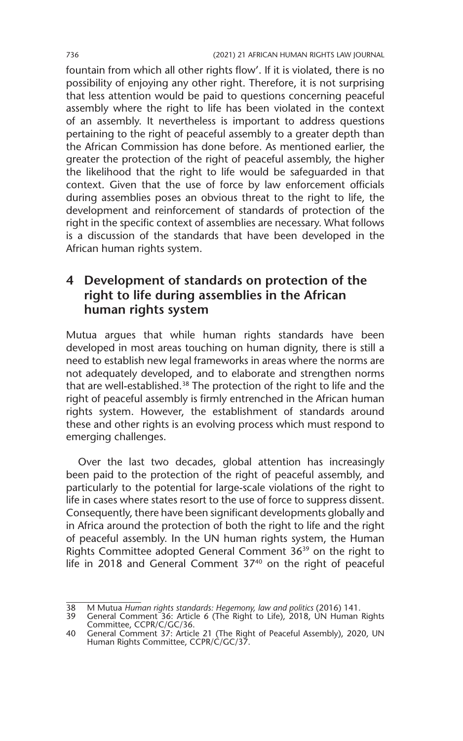fountain from which all other rights flow'. If it is violated, there is no possibility of enjoying any other right. Therefore, it is not surprising that less attention would be paid to questions concerning peaceful assembly where the right to life has been violated in the context of an assembly. It nevertheless is important to address questions pertaining to the right of peaceful assembly to a greater depth than the African Commission has done before. As mentioned earlier, the greater the protection of the right of peaceful assembly, the higher the likelihood that the right to life would be safeguarded in that context. Given that the use of force by law enforcement officials during assemblies poses an obvious threat to the right to life, the development and reinforcement of standards of protection of the right in the specific context of assemblies are necessary. What follows is a discussion of the standards that have been developed in the African human rights system.

## **4 Development of standards on protection of the right to life during assemblies in the African human rights system**

Mutua argues that while human rights standards have been developed in most areas touching on human dignity, there is still a need to establish new legal frameworks in areas where the norms are not adequately developed, and to elaborate and strengthen norms that are well-established.<sup>38</sup> The protection of the right to life and the right of peaceful assembly is firmly entrenched in the African human rights system. However, the establishment of standards around these and other rights is an evolving process which must respond to emerging challenges.

Over the last two decades, global attention has increasingly been paid to the protection of the right of peaceful assembly, and particularly to the potential for large-scale violations of the right to life in cases where states resort to the use of force to suppress dissent. Consequently, there have been significant developments globally and in Africa around the protection of both the right to life and the right of peaceful assembly. In the UN human rights system, the Human Rights Committee adopted General Comment 3639 on the right to life in 2018 and General Comment 37<sup>40</sup> on the right of peaceful

<sup>38</sup> M Mutua *Human rights standards: Hegemony, law and politics* (2016) 141.

<sup>39</sup> General Comment 36: Article 6 (The Right to Life), 2018, UN Human Rights Committee, CCPR/C/GC/36.

<sup>40</sup> General Comment 37: Article 21 (The Right of Peaceful Assembly), 2020, UN Human Rights Committee, CCPR/C/GC/37.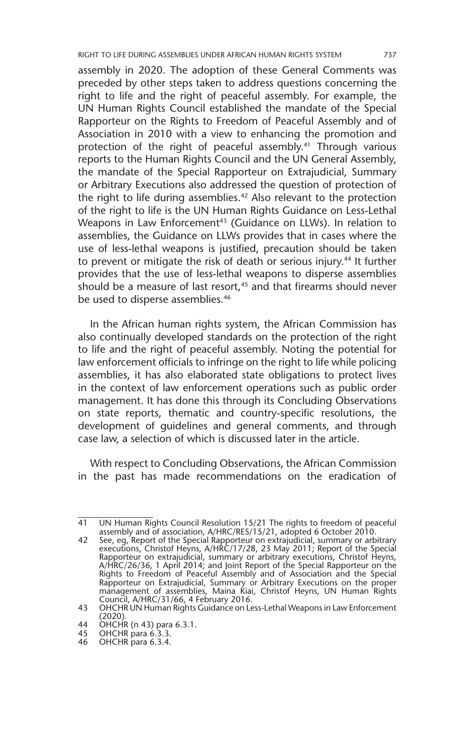assembly in 2020. The adoption of these General Comments was preceded by other steps taken to address questions concerning the right to life and the right of peaceful assembly. For example, the UN Human Rights Council established the mandate of the Special Rapporteur on the Rights to Freedom of Peaceful Assembly and of Association in 2010 with a view to enhancing the promotion and protection of the right of peaceful assembly.<sup>41</sup> Through various reports to the Human Rights Council and the UN General Assembly, the mandate of the Special Rapporteur on Extrajudicial, Summary or Arbitrary Executions also addressed the question of protection of the right to life during assemblies.<sup>42</sup> Also relevant to the protection of the right to life is the UN Human Rights Guidance on Less-Lethal Weapons in Law Enforcement<sup>43</sup> (Guidance on LLWs). In relation to assemblies, the Guidance on LLWs provides that in cases where the use of less-lethal weapons is justified, precaution should be taken to prevent or mitigate the risk of death or serious injury.<sup>44</sup> It further provides that the use of less-lethal weapons to disperse assemblies should be a measure of last resort,<sup>45</sup> and that firearms should never be used to disperse assemblies.<sup>46</sup>

In the African human rights system, the African Commission has also continually developed standards on the protection of the right to life and the right of peaceful assembly. Noting the potential for law enforcement officials to infringe on the right to life while policing assemblies, it has also elaborated state obligations to protect lives in the context of law enforcement operations such as public order management. It has done this through its Concluding Observations on state reports, thematic and country-specific resolutions, the development of guidelines and general comments, and through case law, a selection of which is discussed later in the article.

With respect to Concluding Observations, the African Commission in the past has made recommendations on the eradication of

<sup>41</sup> UN Human Rights Council Resolution 15/21 The rights to freedom of peaceful assembly and of association, A/HRC/RES/15/21, adopted 6 October 2010.

<sup>42</sup> See, eg, Report of the Special Rapporteur on extrajudicial, summary or arbitrary executions, Christof Heyns, A/HRC/17/28, 23 May 2011; Report of the Special Rapporteur on extrajudicial, summary or arbitrary executions, Christof Heyns, A/HRC/26/36, 1 April 2014; and Joint Report of the Special Rapporteur on the Rights to Freedom of Peaceful Assembly and of Association and the Special Rapporteur on Extrajudicial, Summary or Arbitrary Executions on the proper management of assemblies, Maina Kiai, Christof Heyns, UN Human Rights Council, A/HRC/31/66, 4 February 2016. 43 OHCHR UN Human Rights Guidance on Less-Lethal Weapons in Law Enforcement

<sup>(2020).</sup> 

<sup>44</sup> OHCHR (n 43) para 6.3.1.

<sup>45</sup> OHCHR para 6.3.3.

<sup>46</sup> OHCHR para 6.3.4.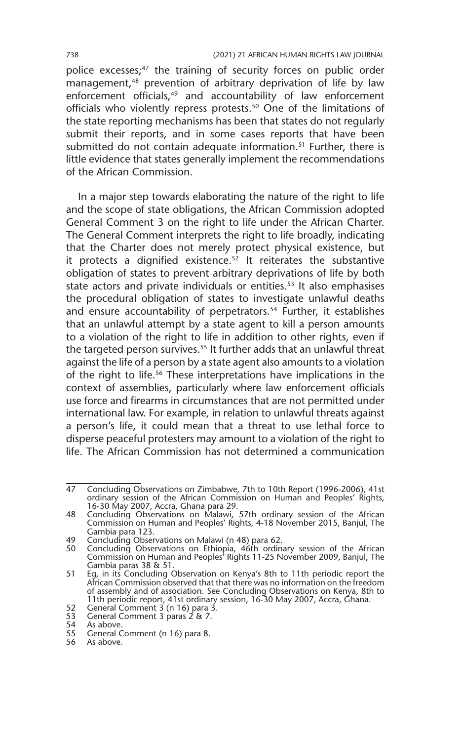police excesses;<sup>47</sup> the training of security forces on public order management,48 prevention of arbitrary deprivation of life by law enforcement officials,<sup>49</sup> and accountability of law enforcement officials who violently repress protests.<sup>50</sup> One of the limitations of the state reporting mechanisms has been that states do not regularly submit their reports, and in some cases reports that have been submitted do not contain adequate information.<sup>51</sup> Further, there is little evidence that states generally implement the recommendations of the African Commission.

In a major step towards elaborating the nature of the right to life and the scope of state obligations, the African Commission adopted General Comment 3 on the right to life under the African Charter. The General Comment interprets the right to life broadly, indicating that the Charter does not merely protect physical existence, but it protects a dignified existence. $52$  It reiterates the substantive obligation of states to prevent arbitrary deprivations of life by both state actors and private individuals or entities.<sup>53</sup> It also emphasises the procedural obligation of states to investigate unlawful deaths and ensure accountability of perpetrators.<sup>54</sup> Further, it establishes that an unlawful attempt by a state agent to kill a person amounts to a violation of the right to life in addition to other rights, even if the targeted person survives.<sup>55</sup> It further adds that an unlawful threat against the life of a person by a state agent also amounts to a violation of the right to life.56 These interpretations have implications in the context of assemblies, particularly where law enforcement officials use force and firearms in circumstances that are not permitted under international law. For example, in relation to unlawful threats against a person's life, it could mean that a threat to use lethal force to disperse peaceful protesters may amount to a violation of the right to life. The African Commission has not determined a communication

<sup>47</sup> Concluding Observations on Zimbabwe, 7th to 10th Report (1996-2006), 41st ordinary session of the African Commission on Human and Peoples' Rights, 16-30 May 2007, Accra, Ghana para 29.

<sup>48</sup> Concluding Observations on Malawi, 57th ordinary session of the African Commission on Human and Peoples' Rights, 4-18 November 2015, Banjul, The Gambia para 123.

<sup>49</sup> Concluding Observations on Malawi (n 48) para 62.<br>50 Concluding Observations on Ethiopia. 46th ordina

<sup>50</sup> Concluding Observations on Ethiopia, 46th ordinary session of the African Commission on Human and Peoples' Rights 11-25 November 2009, Banjul, The Gambia paras 38 & 51.

<sup>51</sup> Eg, in its Concluding Observation on Kenya's 8th to 11th periodic report the African Commission observed that that there was no information on the freedom of assembly and of association. See Concluding Observations on Kenya, 8th to 11th periodic report, 41st ordinary session, 16-30 May 2007, Accra, Ghana. 52 General Comment 3 (n 16) para 3. 53 General Comment 3 paras 2 & 7.

<sup>53</sup> General C<br>54 As above.<br>55 General C

<sup>55</sup> General Comment (n 16) para 8.

<sup>56</sup> As above.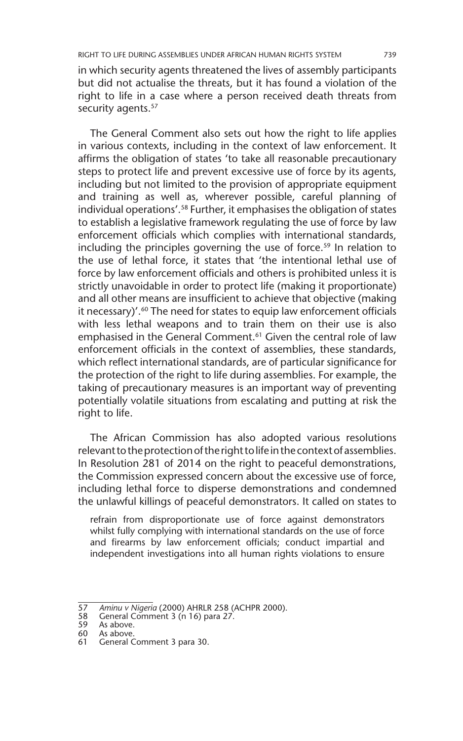in which security agents threatened the lives of assembly participants but did not actualise the threats, but it has found a violation of the right to life in a case where a person received death threats from security agents.<sup>57</sup>

The General Comment also sets out how the right to life applies in various contexts, including in the context of law enforcement. It affirms the obligation of states 'to take all reasonable precautionary steps to protect life and prevent excessive use of force by its agents, including but not limited to the provision of appropriate equipment and training as well as, wherever possible, careful planning of individual operations'.<sup>58</sup> Further, it emphasises the obligation of states to establish a legislative framework regulating the use of force by law enforcement officials which complies with international standards, including the principles governing the use of force.<sup>59</sup> In relation to the use of lethal force, it states that 'the intentional lethal use of force by law enforcement officials and others is prohibited unless it is strictly unavoidable in order to protect life (making it proportionate) and all other means are insufficient to achieve that objective (making it necessary)'.60 The need for states to equip law enforcement officials with less lethal weapons and to train them on their use is also emphasised in the General Comment.<sup>61</sup> Given the central role of law enforcement officials in the context of assemblies, these standards, which reflect international standards, are of particular significance for the protection of the right to life during assemblies. For example, the taking of precautionary measures is an important way of preventing potentially volatile situations from escalating and putting at risk the right to life.

The African Commission has also adopted various resolutions relevant to the protection of the right to life in the context of assemblies. In Resolution 281 of 2014 on the right to peaceful demonstrations, the Commission expressed concern about the excessive use of force, including lethal force to disperse demonstrations and condemned the unlawful killings of peaceful demonstrators. It called on states to

refrain from disproportionate use of force against demonstrators whilst fully complying with international standards on the use of force and firearms by law enforcement officials; conduct impartial and independent investigations into all human rights violations to ensure

<sup>57</sup> *Aminu v Nigeria* (2000) AHRLR 258 (ACHPR 2000).

<sup>58</sup> General Comment 3 (n 16) para 27.<br>59 As above.

<sup>59</sup> As above.<br>60 As above.

<sup>60</sup> As above.<br>61 General C

General Comment 3 para 30.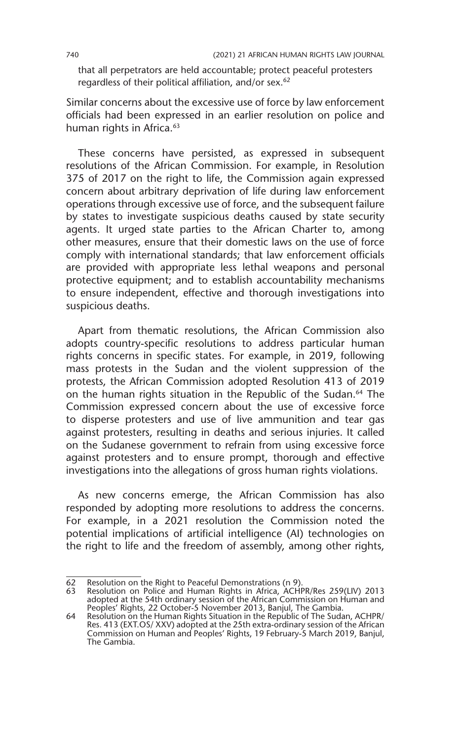that all perpetrators are held accountable; protect peaceful protesters regardless of their political affiliation, and/or sex.<sup>62</sup>

Similar concerns about the excessive use of force by law enforcement officials had been expressed in an earlier resolution on police and human rights in Africa.<sup>63</sup>

These concerns have persisted, as expressed in subsequent resolutions of the African Commission. For example, in Resolution 375 of 2017 on the right to life, the Commission again expressed concern about arbitrary deprivation of life during law enforcement operations through excessive use of force, and the subsequent failure by states to investigate suspicious deaths caused by state security agents. It urged state parties to the African Charter to, among other measures, ensure that their domestic laws on the use of force comply with international standards; that law enforcement officials are provided with appropriate less lethal weapons and personal protective equipment; and to establish accountability mechanisms to ensure independent, effective and thorough investigations into suspicious deaths.

Apart from thematic resolutions, the African Commission also adopts country-specific resolutions to address particular human rights concerns in specific states. For example, in 2019, following mass protests in the Sudan and the violent suppression of the protests, the African Commission adopted Resolution 413 of 2019 on the human rights situation in the Republic of the Sudan.<sup>64</sup> The Commission expressed concern about the use of excessive force to disperse protesters and use of live ammunition and tear gas against protesters, resulting in deaths and serious injuries. It called on the Sudanese government to refrain from using excessive force against protesters and to ensure prompt, thorough and effective investigations into the allegations of gross human rights violations.

As new concerns emerge, the African Commission has also responded by adopting more resolutions to address the concerns. For example, in a 2021 resolution the Commission noted the potential implications of artificial intelligence (AI) technologies on the right to life and the freedom of assembly, among other rights,

<sup>62</sup> Resolution on the Right to Peaceful Demonstrations (n 9).

<sup>63</sup> Resolution on Police and Human Rights in Africa, ACHPR/Res 259(LIV) 2013 adopted at the 54th ordinary session of the African Commission on Human and Peoples' Rights, 22 October-5 November 2013, Banjul, The Gambia. 64 Resolution on the Human Rights Situation in the Republic of The Sudan, ACHPR/

Res. 413 (EXT.OS/ XXV) adopted at the 25th extra-ordinary session of the African Commission on Human and Peoples' Rights, 19 February-5 March 2019, Banjul, The Gambia.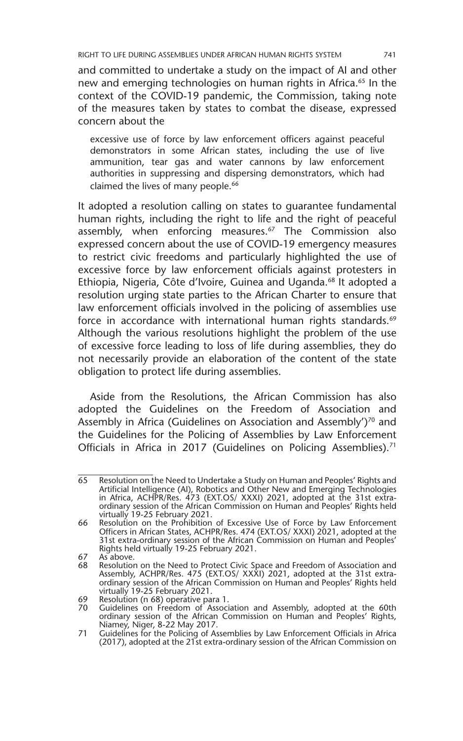and committed to undertake a study on the impact of AI and other new and emerging technologies on human rights in Africa.<sup>65</sup> In the context of the COVID-19 pandemic, the Commission, taking note of the measures taken by states to combat the disease, expressed concern about the

excessive use of force by law enforcement officers against peaceful demonstrators in some African states, including the use of live ammunition, tear gas and water cannons by law enforcement authorities in suppressing and dispersing demonstrators, which had claimed the lives of many people.<sup>66</sup>

It adopted a resolution calling on states to guarantee fundamental human rights, including the right to life and the right of peaceful assembly, when enforcing measures.<sup>67</sup> The Commission also expressed concern about the use of COVID-19 emergency measures to restrict civic freedoms and particularly highlighted the use of excessive force by law enforcement officials against protesters in Ethiopia, Nigeria, Côte d'Ivoire, Guinea and Uganda.<sup>68</sup> It adopted a resolution urging state parties to the African Charter to ensure that law enforcement officials involved in the policing of assemblies use force in accordance with international human rights standards.<sup>69</sup> Although the various resolutions highlight the problem of the use of excessive force leading to loss of life during assemblies, they do not necessarily provide an elaboration of the content of the state obligation to protect life during assemblies.

Aside from the Resolutions, the African Commission has also adopted the Guidelines on the Freedom of Association and Assembly in Africa (Guidelines on Association and Assembly')<sup>70</sup> and the Guidelines for the Policing of Assemblies by Law Enforcement Officials in Africa in 2017 (Guidelines on Policing Assemblies).<sup>71</sup>

67 As above.

<sup>65</sup> Resolution on the Need to Undertake a Study on Human and Peoples' Rights and Artificial Intelligence (AI), Robotics and Other New and Emerging Technologies in Africa, ACHPR/Res. 473 (EXT.OS/ XXXI) 2021, adopted at the 31st extraordinary session of the African Commission on Human and Peoples' Rights held virtually 19-25 February 2021.

<sup>66</sup> Resolution on the Prohibition of Excessive Use of Force by Law Enforcement Officers in African States, ACHPR/Res. 474 (EXT.OS/ XXXI) 2021, adopted at the 31st extra-ordinary session of the African Commission on Human and Peoples' Rights held virtually 19-25 February 2021.

<sup>68</sup> Resolution on the Need to Protect Civic Space and Freedom of Association and Assembly, ACHPR/Res. 475 (EXT.OS/ XXXI) 2021, adopted at the 31st extraordinary session of the African Commission on Human and Peoples' Rights held virtually 19-25 February 2021.

<sup>69</sup> Resolution (n 68) operative para 1. 70 Guidelines on Freedom of Association and Assembly, adopted at the 60th ordinary session of the African Commission on Human and Peoples' Rights, Niamey, Niger, 8-22 May 2017.

<sup>71</sup> Guidelines for the Policing of Assemblies by Law Enforcement Officials in Africa (2017), adopted at the 21st extra-ordinary session of the African Commission on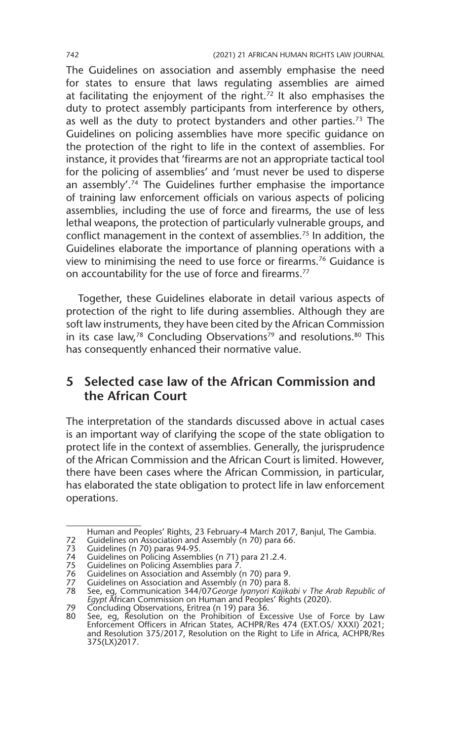The Guidelines on association and assembly emphasise the need for states to ensure that laws regulating assemblies are aimed at facilitating the enjoyment of the right.<sup>72</sup> It also emphasises the duty to protect assembly participants from interference by others, as well as the duty to protect bystanders and other parties.<sup>73</sup> The Guidelines on policing assemblies have more specific guidance on the protection of the right to life in the context of assemblies. For instance, it provides that 'firearms are not an appropriate tactical tool for the policing of assemblies' and 'must never be used to disperse an assembly'.74 The Guidelines further emphasise the importance of training law enforcement officials on various aspects of policing assemblies, including the use of force and firearms, the use of less lethal weapons, the protection of particularly vulnerable groups, and conflict management in the context of assemblies.75 In addition, the Guidelines elaborate the importance of planning operations with a view to minimising the need to use force or firearms.76 Guidance is on accountability for the use of force and firearms.<sup>77</sup>

Together, these Guidelines elaborate in detail various aspects of protection of the right to life during assemblies. Although they are soft law instruments, they have been cited by the African Commission in its case law,<sup>78</sup> Concluding Observations<sup>79</sup> and resolutions.<sup>80</sup> This has consequently enhanced their normative value.

## **5 Selected case law of the African Commission and the African Court**

The interpretation of the standards discussed above in actual cases is an important way of clarifying the scope of the state obligation to protect life in the context of assemblies. Generally, the jurisprudence of the African Commission and the African Court is limited. However, there have been cases where the African Commission, in particular, has elaborated the state obligation to protect life in law enforcement operations.

Human and Peoples' Rights, 23 February-4 March 2017, Banjul, The Gambia.

<sup>72</sup> Guidelines on Association and Assembly (n 70) para 66.

<sup>73</sup> Guidelines (n 70) paras 94-95.

<sup>74</sup> Guidelines on Policing Assemblies (n 71) para 21.2.4.

<sup>75</sup> Guidelines on Policing Assemblies para 7.

<sup>76</sup> Guidelines on Association and Assembly (n 70) para 9.

<sup>77</sup> Guidelines on Association and Assembly (n 70) para 8.

<sup>78</sup> See, eg, Communication 344/07*George Iyanyori Kajikabi v The Arab Republic of Egypt* African Commission on Human and Peoples' Rights (2020). 79 Concluding Observations, Eritrea (n 19) para 36. 80 See, eg, Resolution on the Prohibition of Excessive Use of Force by Law

Enforcement Officers in African States*,* ACHPR/Res 474 (EXT.OS/ XXXI) 2021; and Resolution 375/2017, Resolution on the Right to Life in Africa*,* ACHPR/Res 375(LX)2017.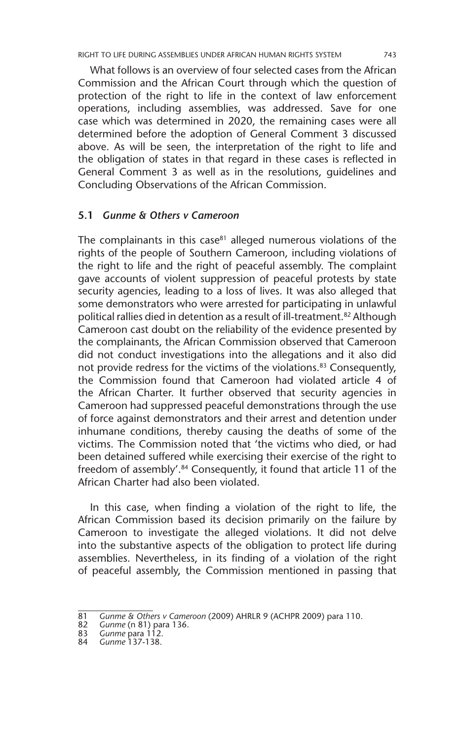What follows is an overview of four selected cases from the African Commission and the African Court through which the question of protection of the right to life in the context of law enforcement operations, including assemblies, was addressed. Save for one case which was determined in 2020, the remaining cases were all determined before the adoption of General Comment 3 discussed above. As will be seen, the interpretation of the right to life and the obligation of states in that regard in these cases is reflected in General Comment 3 as well as in the resolutions, guidelines and Concluding Observations of the African Commission.

#### **5.1** *Gunme & Others v Cameroon*

The complainants in this case $81$  alleged numerous violations of the rights of the people of Southern Cameroon, including violations of the right to life and the right of peaceful assembly. The complaint gave accounts of violent suppression of peaceful protests by state security agencies, leading to a loss of lives. It was also alleged that some demonstrators who were arrested for participating in unlawful political rallies died in detention as a result of ill-treatment.82 Although Cameroon cast doubt on the reliability of the evidence presented by the complainants, the African Commission observed that Cameroon did not conduct investigations into the allegations and it also did not provide redress for the victims of the violations.<sup>83</sup> Consequently, the Commission found that Cameroon had violated article 4 of the African Charter. It further observed that security agencies in Cameroon had suppressed peaceful demonstrations through the use of force against demonstrators and their arrest and detention under inhumane conditions, thereby causing the deaths of some of the victims. The Commission noted that 'the victims who died, or had been detained suffered while exercising their exercise of the right to freedom of assembly'.84 Consequently, it found that article 11 of the African Charter had also been violated.

In this case, when finding a violation of the right to life, the African Commission based its decision primarily on the failure by Cameroon to investigate the alleged violations. It did not delve into the substantive aspects of the obligation to protect life during assemblies. Nevertheless, in its finding of a violation of the right of peaceful assembly, the Commission mentioned in passing that

<sup>81</sup> *Gunme & Others v Cameroon* (2009) AHRLR 9 (ACHPR 2009) para 110.

<sup>82</sup> *Gunme* (n 81) para 136.

<sup>83</sup> *Gunme* para 112.

<sup>84</sup> *Gunme* 137-138.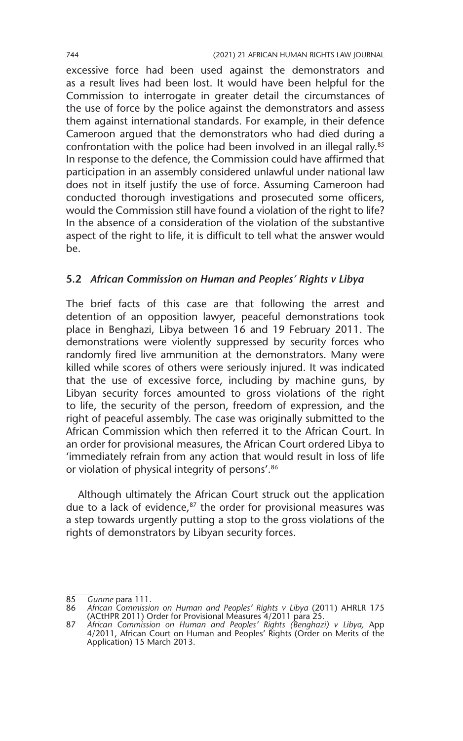excessive force had been used against the demonstrators and as a result lives had been lost. It would have been helpful for the Commission to interrogate in greater detail the circumstances of the use of force by the police against the demonstrators and assess them against international standards. For example, in their defence Cameroon argued that the demonstrators who had died during a confrontation with the police had been involved in an illegal rally.<sup>85</sup> In response to the defence, the Commission could have affirmed that participation in an assembly considered unlawful under national law does not in itself justify the use of force. Assuming Cameroon had conducted thorough investigations and prosecuted some officers, would the Commission still have found a violation of the right to life? In the absence of a consideration of the violation of the substantive aspect of the right to life, it is difficult to tell what the answer would be.

#### **5.2** *African Commission on Human and Peoples' Rights v Libya*

The brief facts of this case are that following the arrest and detention of an opposition lawyer, peaceful demonstrations took place in Benghazi, Libya between 16 and 19 February 2011. The demonstrations were violently suppressed by security forces who randomly fired live ammunition at the demonstrators. Many were killed while scores of others were seriously injured. It was indicated that the use of excessive force, including by machine guns, by Libyan security forces amounted to gross violations of the right to life, the security of the person, freedom of expression, and the right of peaceful assembly. The case was originally submitted to the African Commission which then referred it to the African Court. In an order for provisional measures, the African Court ordered Libya to 'immediately refrain from any action that would result in loss of life or violation of physical integrity of persons'.<sup>86</sup>

Although ultimately the African Court struck out the application due to a lack of evidence, $87$  the order for provisional measures was a step towards urgently putting a stop to the gross violations of the rights of demonstrators by Libyan security forces.

<sup>85</sup> *Gunme* para 111.

<sup>86</sup> *African Commission on Human and Peoples' Rights v Libya* (2011) AHRLR 175 (ACtHPR 2011) Order for Provisional Measures 4/2011 para 25.

<sup>87</sup> *African Commission on Human and Peoples' Rights (Benghazi) v Libya,* App 4/2011, African Court on Human and Peoples' Rights (Order on Merits of the Application) 15 March 2013.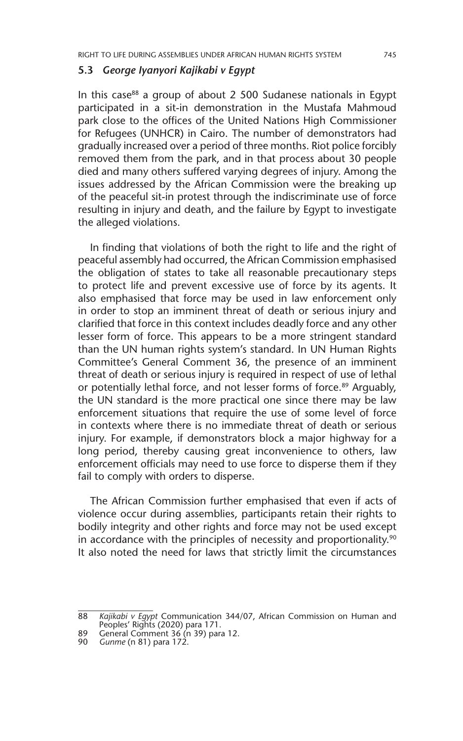#### **5.3** *George Iyanyori Kajikabi v Egypt*

In this case<sup>88</sup> a group of about  $2,500$  Sudanese nationals in Egypt participated in a sit-in demonstration in the Mustafa Mahmoud park close to the offices of the United Nations High Commissioner for Refugees (UNHCR) in Cairo. The number of demonstrators had gradually increased over a period of three months. Riot police forcibly removed them from the park, and in that process about 30 people died and many others suffered varying degrees of injury. Among the issues addressed by the African Commission were the breaking up of the peaceful sit-in protest through the indiscriminate use of force resulting in injury and death, and the failure by Egypt to investigate the alleged violations.

In finding that violations of both the right to life and the right of peaceful assembly had occurred, the African Commission emphasised the obligation of states to take all reasonable precautionary steps to protect life and prevent excessive use of force by its agents. It also emphasised that force may be used in law enforcement only in order to stop an imminent threat of death or serious injury and clarified that force in this context includes deadly force and any other lesser form of force. This appears to be a more stringent standard than the UN human rights system's standard. In UN Human Rights Committee's General Comment 36, the presence of an imminent threat of death or serious injury is required in respect of use of lethal or potentially lethal force, and not lesser forms of force.<sup>89</sup> Arguably, the UN standard is the more practical one since there may be law enforcement situations that require the use of some level of force in contexts where there is no immediate threat of death or serious injury. For example, if demonstrators block a major highway for a long period, thereby causing great inconvenience to others, law enforcement officials may need to use force to disperse them if they fail to comply with orders to disperse.

The African Commission further emphasised that even if acts of violence occur during assemblies, participants retain their rights to bodily integrity and other rights and force may not be used except in accordance with the principles of necessity and proportionality.<sup>90</sup> It also noted the need for laws that strictly limit the circumstances

<sup>88</sup> *Kajikabi v Egypt* Communication 344/07, African Commission on Human and Peoples' Rights (2020) para 171.

<sup>89</sup> General Comment 36 (n 39) para 12.

<sup>90</sup> *Gunme* (n 81) para 172.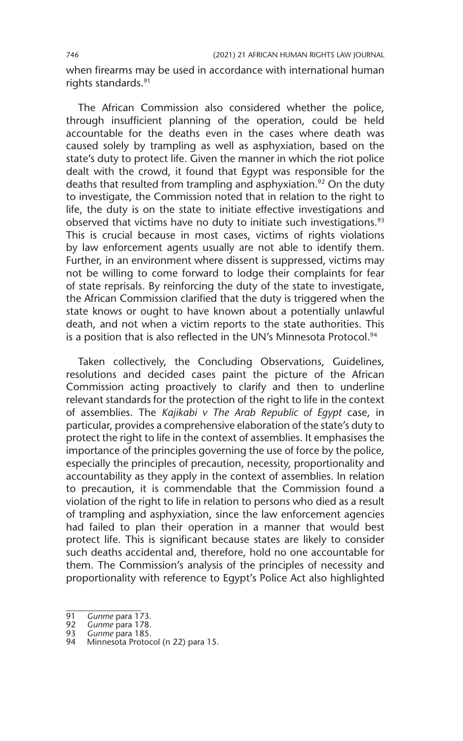when firearms may be used in accordance with international human rights standards.91

The African Commission also considered whether the police, through insufficient planning of the operation, could be held accountable for the deaths even in the cases where death was caused solely by trampling as well as asphyxiation, based on the state's duty to protect life. Given the manner in which the riot police dealt with the crowd, it found that Egypt was responsible for the deaths that resulted from trampling and asphyxiation.<sup>92</sup> On the duty to investigate, the Commission noted that in relation to the right to life, the duty is on the state to initiate effective investigations and observed that victims have no duty to initiate such investigations.<sup>93</sup> This is crucial because in most cases, victims of rights violations by law enforcement agents usually are not able to identify them. Further, in an environment where dissent is suppressed, victims may not be willing to come forward to lodge their complaints for fear of state reprisals. By reinforcing the duty of the state to investigate, the African Commission clarified that the duty is triggered when the state knows or ought to have known about a potentially unlawful death, and not when a victim reports to the state authorities. This is a position that is also reflected in the UN's Minnesota Protocol.<sup>94</sup>

Taken collectively, the Concluding Observations, Guidelines, resolutions and decided cases paint the picture of the African Commission acting proactively to clarify and then to underline relevant standards for the protection of the right to life in the context of assemblies. The *Kajikabi v The Arab Republic of Egypt* case, in particular, provides a comprehensive elaboration of the state's duty to protect the right to life in the context of assemblies. It emphasises the importance of the principles governing the use of force by the police, especially the principles of precaution, necessity, proportionality and accountability as they apply in the context of assemblies. In relation to precaution, it is commendable that the Commission found a violation of the right to life in relation to persons who died as a result of trampling and asphyxiation, since the law enforcement agencies had failed to plan their operation in a manner that would best protect life. This is significant because states are likely to consider such deaths accidental and, therefore, hold no one accountable for them. The Commission's analysis of the principles of necessity and proportionality with reference to Egypt's Police Act also highlighted

<sup>91</sup> *Gunme* para 173.

<sup>92</sup> *Gunme* para 178.

<sup>93</sup> *Gunme* para 185.

Minnesota Protocol (n 22) para 15.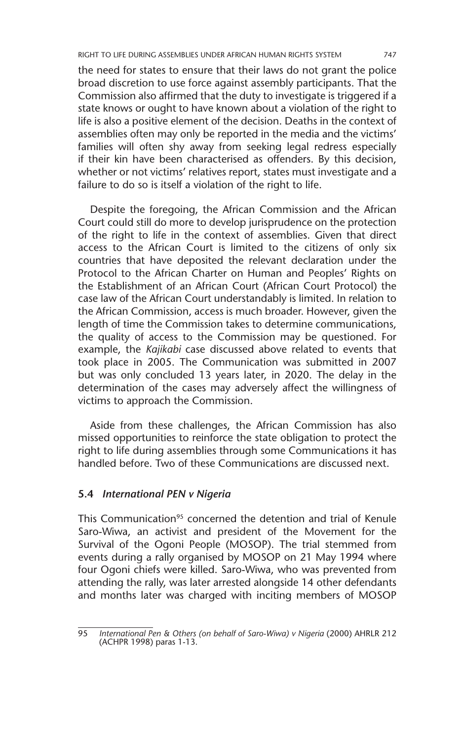the need for states to ensure that their laws do not grant the police broad discretion to use force against assembly participants. That the Commission also affirmed that the duty to investigate is triggered if a state knows or ought to have known about a violation of the right to life is also a positive element of the decision. Deaths in the context of assemblies often may only be reported in the media and the victims' families will often shy away from seeking legal redress especially if their kin have been characterised as offenders. By this decision, whether or not victims' relatives report, states must investigate and a failure to do so is itself a violation of the right to life.

Despite the foregoing, the African Commission and the African Court could still do more to develop jurisprudence on the protection of the right to life in the context of assemblies. Given that direct access to the African Court is limited to the citizens of only six countries that have deposited the relevant declaration under the Protocol to the African Charter on Human and Peoples' Rights on the Establishment of an African Court (African Court Protocol) the case law of the African Court understandably is limited. In relation to the African Commission, access is much broader. However, given the length of time the Commission takes to determine communications, the quality of access to the Commission may be questioned. For example, the *Kajikabi* case discussed above related to events that took place in 2005. The Communication was submitted in 2007 but was only concluded 13 years later, in 2020. The delay in the determination of the cases may adversely affect the willingness of victims to approach the Commission.

Aside from these challenges, the African Commission has also missed opportunities to reinforce the state obligation to protect the right to life during assemblies through some Communications it has handled before. Two of these Communications are discussed next.

#### **5.4** *International PEN v Nigeria*

This Communication<sup>95</sup> concerned the detention and trial of Kenule Saro-Wiwa, an activist and president of the Movement for the Survival of the Ogoni People (MOSOP). The trial stemmed from events during a rally organised by MOSOP on 21 May 1994 where four Ogoni chiefs were killed. Saro-Wiwa, who was prevented from attending the rally, was later arrested alongside 14 other defendants and months later was charged with inciting members of MOSOP

<sup>95</sup> *International Pen & Others (on behalf of Saro-Wiwa) v Nigeria* (2000) AHRLR 212 (ACHPR 1998) paras 1-13.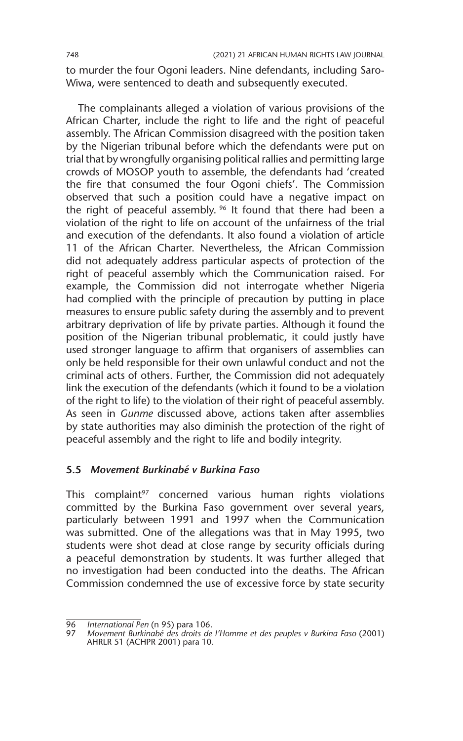to murder the four Ogoni leaders. Nine defendants, including Saro-Wiwa, were sentenced to death and subsequently executed.

The complainants alleged a violation of various provisions of the African Charter, include the right to life and the right of peaceful assembly. The African Commission disagreed with the position taken by the Nigerian tribunal before which the defendants were put on trial that by wrongfully organising political rallies and permitting large crowds of MOSOP youth to assemble, the defendants had 'created the fire that consumed the four Ogoni chiefs'. The Commission observed that such a position could have a negative impact on the right of peaceful assembly. <sup>96</sup> It found that there had been a violation of the right to life on account of the unfairness of the trial and execution of the defendants. It also found a violation of article 11 of the African Charter. Nevertheless, the African Commission did not adequately address particular aspects of protection of the right of peaceful assembly which the Communication raised. For example, the Commission did not interrogate whether Nigeria had complied with the principle of precaution by putting in place measures to ensure public safety during the assembly and to prevent arbitrary deprivation of life by private parties. Although it found the position of the Nigerian tribunal problematic, it could justly have used stronger language to affirm that organisers of assemblies can only be held responsible for their own unlawful conduct and not the criminal acts of others. Further, the Commission did not adequately link the execution of the defendants (which it found to be a violation of the right to life) to the violation of their right of peaceful assembly. As seen in *Gunme* discussed above, actions taken after assemblies by state authorities may also diminish the protection of the right of peaceful assembly and the right to life and bodily integrity.

#### **5.5** *Movement Burkinabé v Burkina Faso*

This complaint $97$  concerned various human rights violations committed by the Burkina Faso government over several years, particularly between 1991 and 1997 when the Communication was submitted. One of the allegations was that in May 1995, two students were shot dead at close range by security officials during a peaceful demonstration by students. It was further alleged that no investigation had been conducted into the deaths. The African Commission condemned the use of excessive force by state security

<sup>96</sup> *International Pen* (n 95) para 106.

<sup>97</sup> *Movement Burkinabé des droits de l'Homme et des peuples v Burkina Faso* (2001) AHRLR 51 (ACHPR 2001) para 10.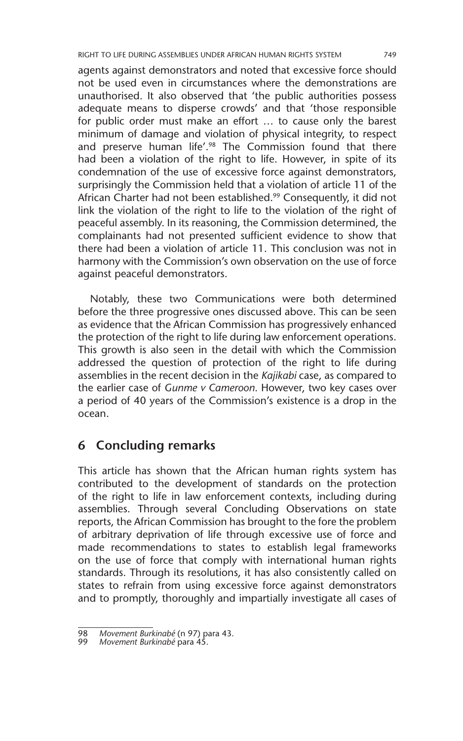agents against demonstrators and noted that excessive force should not be used even in circumstances where the demonstrations are unauthorised. It also observed that 'the public authorities possess adequate means to disperse crowds' and that 'those responsible for public order must make an effort … to cause only the barest minimum of damage and violation of physical integrity, to respect and preserve human life'.<sup>98</sup> The Commission found that there had been a violation of the right to life. However, in spite of its condemnation of the use of excessive force against demonstrators, surprisingly the Commission held that a violation of article 11 of the African Charter had not been established.<sup>99</sup> Consequently, it did not link the violation of the right to life to the violation of the right of peaceful assembly. In its reasoning, the Commission determined, the complainants had not presented sufficient evidence to show that there had been a violation of article 11. This conclusion was not in harmony with the Commission's own observation on the use of force against peaceful demonstrators.

Notably, these two Communications were both determined before the three progressive ones discussed above. This can be seen as evidence that the African Commission has progressively enhanced the protection of the right to life during law enforcement operations. This growth is also seen in the detail with which the Commission addressed the question of protection of the right to life during assemblies in the recent decision in the *Kajikabi* case, as compared to the earlier case of *Gunme v Cameroon*. However, two key cases over a period of 40 years of the Commission's existence is a drop in the ocean.

## **6 Concluding remarks**

This article has shown that the African human rights system has contributed to the development of standards on the protection of the right to life in law enforcement contexts, including during assemblies. Through several Concluding Observations on state reports, the African Commission has brought to the fore the problem of arbitrary deprivation of life through excessive use of force and made recommendations to states to establish legal frameworks on the use of force that comply with international human rights standards. Through its resolutions, it has also consistently called on states to refrain from using excessive force against demonstrators and to promptly, thoroughly and impartially investigate all cases of

<sup>98</sup> *Movement Burkinabé* (n 97) para 43.

<sup>99</sup> *Movement Burkinabé* para 45.